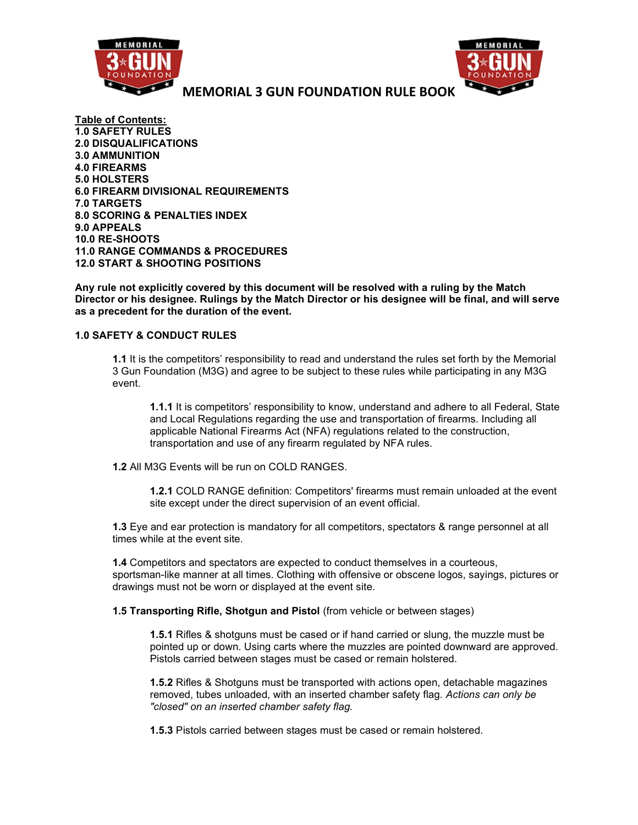



Table of Contents: 1.0 SAFETY RULES 2.0 DISQUALIFICATIONS 3.0 AMMUNITION 4.0 FIREARMS 5.0 HOLSTERS 6.0 FIREARM DIVISIONAL REQUIREMENTS 7.0 TARGETS 8.0 SCORING & PENALTIES INDEX 9.0 APPEALS 10.0 RE-SHOOTS 11.0 RANGE COMMANDS & PROCEDURES 12.0 START & SHOOTING POSITIONS

Any rule not explicitly covered by this document will be resolved with a ruling by the Match Director or his designee. Rulings by the Match Director or his designee will be final, and will serve as a precedent for the duration of the event.

## 1.0 SAFETY & CONDUCT RULES

1.1 It is the competitors' responsibility to read and understand the rules set forth by the Memorial 3 Gun Foundation (M3G) and agree to be subject to these rules while participating in any M3G event.

1.1.1 It is competitors' responsibility to know, understand and adhere to all Federal, State and Local Regulations regarding the use and transportation of firearms. Including all applicable National Firearms Act (NFA) regulations related to the construction, transportation and use of any firearm regulated by NFA rules.

1.2 All M3G Events will be run on COLD RANGES.

1.2.1 COLD RANGE definition: Competitors' firearms must remain unloaded at the event site except under the direct supervision of an event official.

1.3 Eye and ear protection is mandatory for all competitors, spectators & range personnel at all times while at the event site.

1.4 Competitors and spectators are expected to conduct themselves in a courteous, sportsman-like manner at all times. Clothing with offensive or obscene logos, sayings, pictures or drawings must not be worn or displayed at the event site.

1.5 Transporting Rifle, Shotgun and Pistol (from vehicle or between stages)

1.5.1 Rifles & shotguns must be cased or if hand carried or slung, the muzzle must be pointed up or down. Using carts where the muzzles are pointed downward are approved. Pistols carried between stages must be cased or remain holstered.

1.5.2 Rifles & Shotguns must be transported with actions open, detachable magazines removed, tubes unloaded, with an inserted chamber safety flag. Actions can only be "closed" on an inserted chamber safety flag.

1.5.3 Pistols carried between stages must be cased or remain holstered.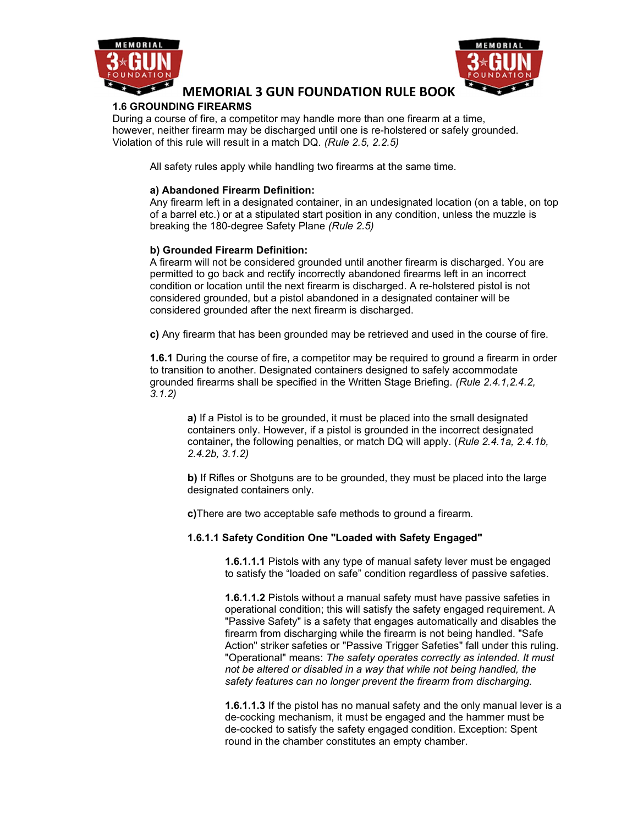



## 1.6 GROUNDING FIREARMS

During a course of fire, a competitor may handle more than one firearm at a time, however, neither firearm may be discharged until one is re-holstered or safely grounded. Violation of this rule will result in a match DQ. (Rule 2.5, 2.2.5)

All safety rules apply while handling two firearms at the same time.

### a) Abandoned Firearm Definition:

Any firearm left in a designated container, in an undesignated location (on a table, on top of a barrel etc.) or at a stipulated start position in any condition, unless the muzzle is breaking the 180-degree Safety Plane (Rule 2.5)

## b) Grounded Firearm Definition:

A firearm will not be considered grounded until another firearm is discharged. You are permitted to go back and rectify incorrectly abandoned firearms left in an incorrect condition or location until the next firearm is discharged. A re-holstered pistol is not considered grounded, but a pistol abandoned in a designated container will be considered grounded after the next firearm is discharged.

c) Any firearm that has been grounded may be retrieved and used in the course of fire.

**1.6.1** During the course of fire, a competitor may be required to ground a firearm in order to transition to another. Designated containers designed to safely accommodate grounded firearms shall be specified in the Written Stage Briefing. (Rule 2.4.1,2.4.2, 3.1.2)

a) If a Pistol is to be grounded, it must be placed into the small designated containers only. However, if a pistol is grounded in the incorrect designated container, the following penalties, or match DQ will apply. (Rule 2.4.1a, 2.4.1b, 2.4.2b, 3.1.2)

b) If Rifles or Shotguns are to be grounded, they must be placed into the large designated containers only.

c)There are two acceptable safe methods to ground a firearm.

#### 1.6.1.1 Safety Condition One "Loaded with Safety Engaged"

1.6.1.1.1 Pistols with any type of manual safety lever must be engaged to satisfy the "loaded on safe" condition regardless of passive safeties.

1.6.1.1.2 Pistols without a manual safety must have passive safeties in operational condition; this will satisfy the safety engaged requirement. A "Passive Safety" is a safety that engages automatically and disables the firearm from discharging while the firearm is not being handled. "Safe Action" striker safeties or "Passive Trigger Safeties" fall under this ruling. "Operational" means: The safety operates correctly as intended. It must not be altered or disabled in a way that while not being handled, the safety features can no longer prevent the firearm from discharging.

**1.6.1.1.3** If the pistol has no manual safety and the only manual lever is a de-cocking mechanism, it must be engaged and the hammer must be de-cocked to satisfy the safety engaged condition. Exception: Spent round in the chamber constitutes an empty chamber.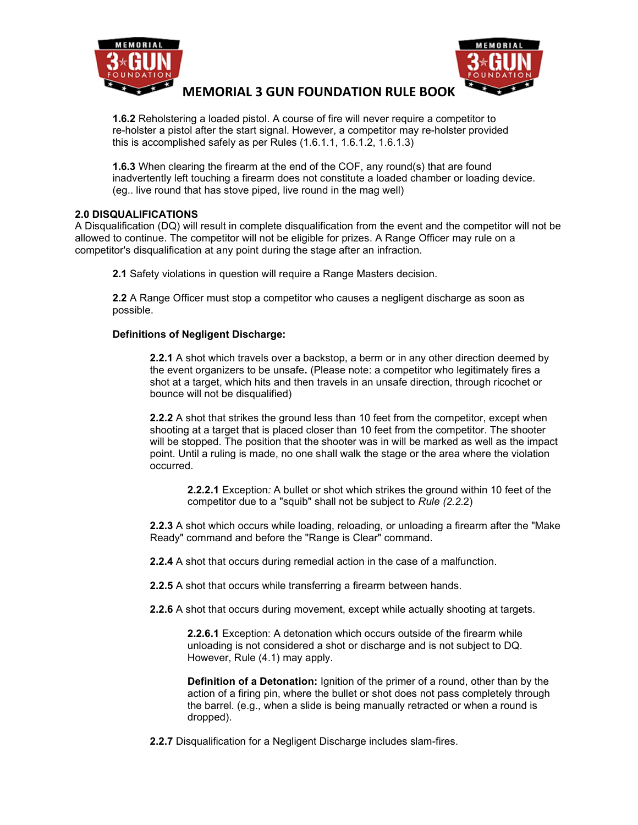



1.6.2 Reholstering a loaded pistol. A course of fire will never require a competitor to re-holster a pistol after the start signal. However, a competitor may re-holster provided this is accomplished safely as per Rules (1.6.1.1, 1.6.1.2, 1.6.1.3)

1.6.3 When clearing the firearm at the end of the COF, any round(s) that are found inadvertently left touching a firearm does not constitute a loaded chamber or loading device. (eg.. live round that has stove piped, live round in the mag well)

## 2.0 DISQUALIFICATIONS

A Disqualification (DQ) will result in complete disqualification from the event and the competitor will not be allowed to continue. The competitor will not be eligible for prizes. A Range Officer may rule on a competitor's disqualification at any point during the stage after an infraction.

2.1 Safety violations in question will require a Range Masters decision.

2.2 A Range Officer must stop a competitor who causes a negligent discharge as soon as possible.

### Definitions of Negligent Discharge:

2.2.1 A shot which travels over a backstop, a berm or in any other direction deemed by the event organizers to be unsafe. (Please note: a competitor who legitimately fires a shot at a target, which hits and then travels in an unsafe direction, through ricochet or bounce will not be disqualified)

2.2.2 A shot that strikes the ground less than 10 feet from the competitor, except when shooting at a target that is placed closer than 10 feet from the competitor. The shooter will be stopped. The position that the shooter was in will be marked as well as the impact point. Until a ruling is made, no one shall walk the stage or the area where the violation occurred.

2.2.2.1 Exception: A bullet or shot which strikes the ground within 10 feet of the competitor due to a "squib" shall not be subject to Rule (2.2.2)

2.2.3 A shot which occurs while loading, reloading, or unloading a firearm after the "Make Ready" command and before the "Range is Clear" command.

2.2.4 A shot that occurs during remedial action in the case of a malfunction.

2.2.5 A shot that occurs while transferring a firearm between hands.

2.2.6 A shot that occurs during movement, except while actually shooting at targets.

2.2.6.1 Exception: A detonation which occurs outside of the firearm while unloading is not considered a shot or discharge and is not subject to DQ. However, Rule (4.1) may apply.

**Definition of a Detonation:** Ignition of the primer of a round, other than by the action of a firing pin, where the bullet or shot does not pass completely through the barrel. (e.g., when a slide is being manually retracted or when a round is dropped).

2.2.7 Disqualification for a Negligent Discharge includes slam-fires.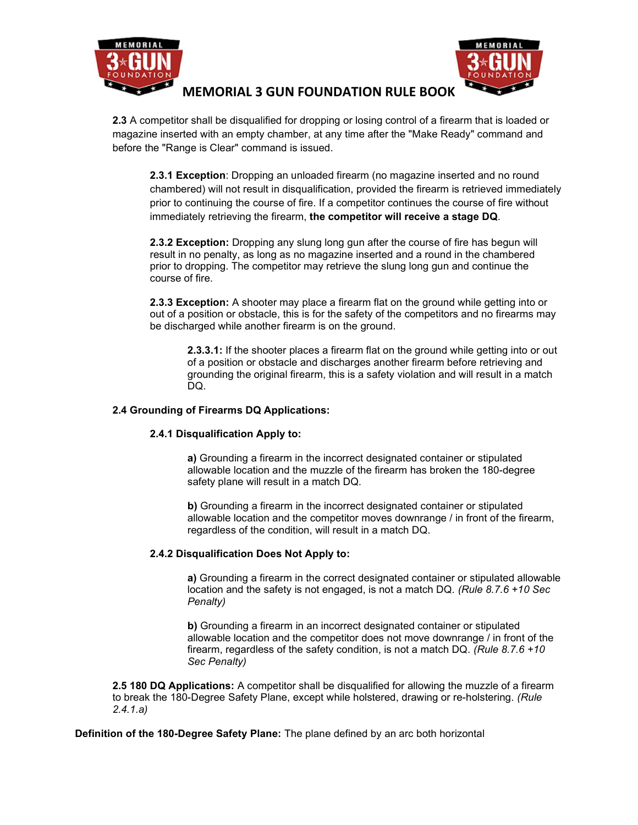



2.3 A competitor shall be disqualified for dropping or losing control of a firearm that is loaded or magazine inserted with an empty chamber, at any time after the "Make Ready" command and before the "Range is Clear" command is issued.

2.3.1 Exception: Dropping an unloaded firearm (no magazine inserted and no round chambered) will not result in disqualification, provided the firearm is retrieved immediately prior to continuing the course of fire. If a competitor continues the course of fire without immediately retrieving the firearm, the competitor will receive a stage DQ.

2.3.2 Exception: Dropping any slung long gun after the course of fire has begun will result in no penalty, as long as no magazine inserted and a round in the chambered prior to dropping. The competitor may retrieve the slung long gun and continue the course of fire.

2.3.3 Exception: A shooter may place a firearm flat on the ground while getting into or out of a position or obstacle, this is for the safety of the competitors and no firearms may be discharged while another firearm is on the ground.

2.3.3.1: If the shooter places a firearm flat on the ground while getting into or out of a position or obstacle and discharges another firearm before retrieving and grounding the original firearm, this is a safety violation and will result in a match DQ.

### 2.4 Grounding of Firearms DQ Applications:

## 2.4.1 Disqualification Apply to:

a) Grounding a firearm in the incorrect designated container or stipulated allowable location and the muzzle of the firearm has broken the 180-degree safety plane will result in a match DQ.

b) Grounding a firearm in the incorrect designated container or stipulated allowable location and the competitor moves downrange / in front of the firearm, regardless of the condition, will result in a match DQ.

## 2.4.2 Disqualification Does Not Apply to:

a) Grounding a firearm in the correct designated container or stipulated allowable location and the safety is not engaged, is not a match DQ. (Rule 8.7.6 +10 Sec Penalty)

b) Grounding a firearm in an incorrect designated container or stipulated allowable location and the competitor does not move downrange / in front of the firearm, regardless of the safety condition, is not a match DQ. (Rule  $8.7.6 + 10$ ) Sec Penalty)

2.5 180 DQ Applications: A competitor shall be disqualified for allowing the muzzle of a firearm to break the 180-Degree Safety Plane, except while holstered, drawing or re-holstering. (Rule 2.4.1.a)

Definition of the 180-Degree Safety Plane: The plane defined by an arc both horizontal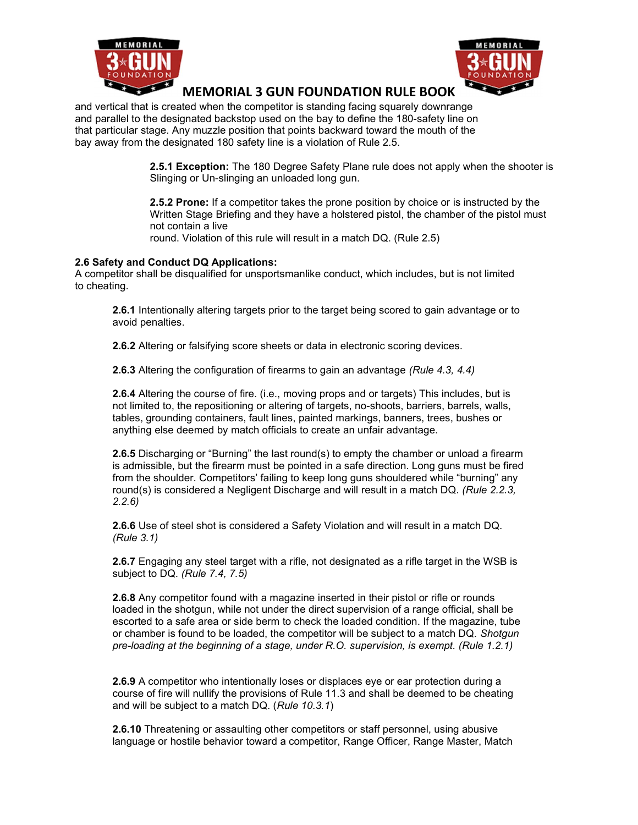



and vertical that is created when the competitor is standing facing squarely downrange and parallel to the designated backstop used on the bay to define the 180-safety line on that particular stage. Any muzzle position that points backward toward the mouth of the bay away from the designated 180 safety line is a violation of Rule 2.5.

> 2.5.1 Exception: The 180 Degree Safety Plane rule does not apply when the shooter is Slinging or Un-slinging an unloaded long gun.

2.5.2 Prone: If a competitor takes the prone position by choice or is instructed by the Written Stage Briefing and they have a holstered pistol, the chamber of the pistol must not contain a live round. Violation of this rule will result in a match DQ. (Rule 2.5)

2.6 Safety and Conduct DQ Applications:

A competitor shall be disqualified for unsportsmanlike conduct, which includes, but is not limited to cheating.

2.6.1 Intentionally altering targets prior to the target being scored to gain advantage or to avoid penalties.

2.6.2 Altering or falsifying score sheets or data in electronic scoring devices.

2.6.3 Altering the configuration of firearms to gain an advantage (Rule 4.3, 4.4)

2.6.4 Altering the course of fire. (i.e., moving props and or targets) This includes, but is not limited to, the repositioning or altering of targets, no-shoots, barriers, barrels, walls, tables, grounding containers, fault lines, painted markings, banners, trees, bushes or anything else deemed by match officials to create an unfair advantage.

**2.6.5** Discharging or "Burning" the last round(s) to empty the chamber or unload a firearm is admissible, but the firearm must be pointed in a safe direction. Long guns must be fired from the shoulder. Competitors' failing to keep long guns shouldered while "burning" any round(s) is considered a Negligent Discharge and will result in a match DQ. (Rule 2.2.3, 2.2.6)

2.6.6 Use of steel shot is considered a Safety Violation and will result in a match DQ. (Rule 3.1)

2.6.7 Engaging any steel target with a rifle, not designated as a rifle target in the WSB is subject to DQ. (Rule 7.4, 7.5)

2.6.8 Any competitor found with a magazine inserted in their pistol or rifle or rounds loaded in the shotgun, while not under the direct supervision of a range official, shall be escorted to a safe area or side berm to check the loaded condition. If the magazine, tube or chamber is found to be loaded, the competitor will be subject to a match DQ. Shotgun pre-loading at the beginning of a stage, under R.O. supervision, is exempt. (Rule 1.2.1)

2.6.9 A competitor who intentionally loses or displaces eye or ear protection during a course of fire will nullify the provisions of Rule 11.3 and shall be deemed to be cheating and will be subject to a match DQ. (Rule 10.3.1)

2.6.10 Threatening or assaulting other competitors or staff personnel, using abusive language or hostile behavior toward a competitor, Range Officer, Range Master, Match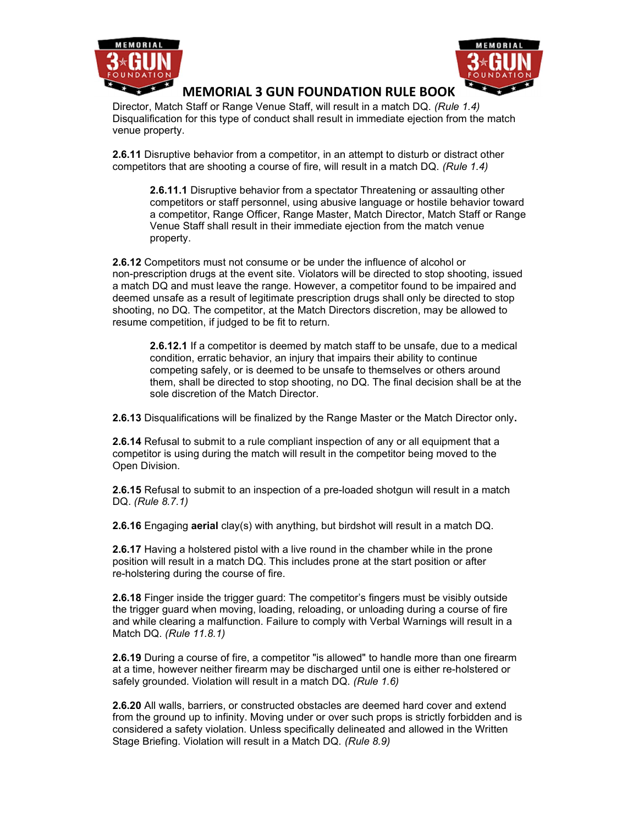



Director, Match Staff or Range Venue Staff, will result in a match DQ. (Rule 1.4) Disqualification for this type of conduct shall result in immediate ejection from the match venue property.

2.6.11 Disruptive behavior from a competitor, in an attempt to disturb or distract other competitors that are shooting a course of fire, will result in a match DQ. (Rule 1.4)

2.6.11.1 Disruptive behavior from a spectator Threatening or assaulting other competitors or staff personnel, using abusive language or hostile behavior toward a competitor, Range Officer, Range Master, Match Director, Match Staff or Range Venue Staff shall result in their immediate ejection from the match venue property.

2.6.12 Competitors must not consume or be under the influence of alcohol or non-prescription drugs at the event site. Violators will be directed to stop shooting, issued a match DQ and must leave the range. However, a competitor found to be impaired and deemed unsafe as a result of legitimate prescription drugs shall only be directed to stop shooting, no DQ. The competitor, at the Match Directors discretion, may be allowed to resume competition, if judged to be fit to return.

2.6.12.1 If a competitor is deemed by match staff to be unsafe, due to a medical condition, erratic behavior, an injury that impairs their ability to continue competing safely, or is deemed to be unsafe to themselves or others around them, shall be directed to stop shooting, no DQ. The final decision shall be at the sole discretion of the Match Director.

2.6.13 Disqualifications will be finalized by the Range Master or the Match Director only.

2.6.14 Refusal to submit to a rule compliant inspection of any or all equipment that a competitor is using during the match will result in the competitor being moved to the Open Division.

2.6.15 Refusal to submit to an inspection of a pre-loaded shotgun will result in a match DQ. (Rule 8.7.1)

**2.6.16** Engaging **aerial** clay(s) with anything, but birdshot will result in a match DQ.

2.6.17 Having a holstered pistol with a live round in the chamber while in the prone position will result in a match DQ. This includes prone at the start position or after re-holstering during the course of fire.

2.6.18 Finger inside the trigger guard: The competitor's fingers must be visibly outside the trigger guard when moving, loading, reloading, or unloading during a course of fire and while clearing a malfunction. Failure to comply with Verbal Warnings will result in a Match DQ. (Rule 11.8.1)

2.6.19 During a course of fire, a competitor "is allowed" to handle more than one firearm at a time, however neither firearm may be discharged until one is either re-holstered or safely grounded. Violation will result in a match DQ. (Rule 1.6)

2.6.20 All walls, barriers, or constructed obstacles are deemed hard cover and extend from the ground up to infinity. Moving under or over such props is strictly forbidden and is considered a safety violation. Unless specifically delineated and allowed in the Written Stage Briefing. Violation will result in a Match DQ. (Rule 8.9)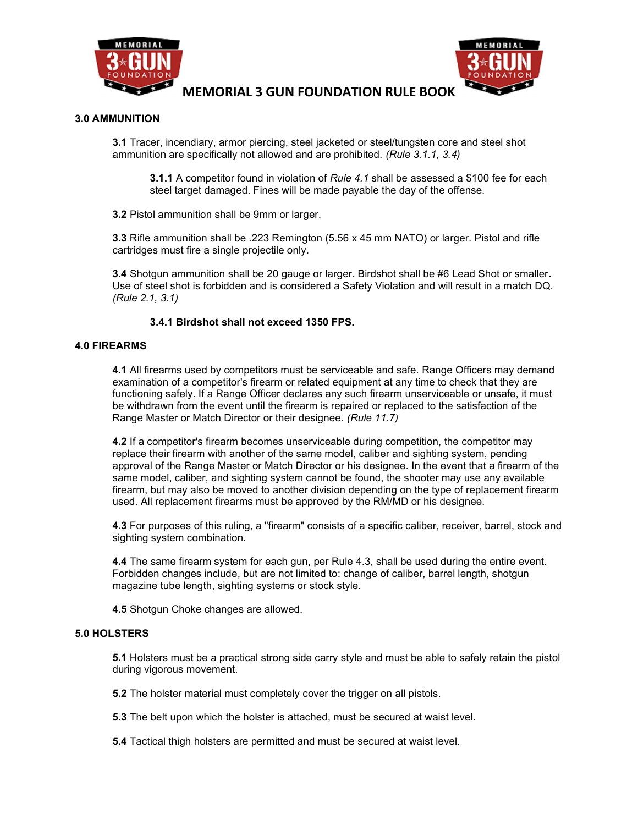



### 3.0 AMMUNITION

3.1 Tracer, incendiary, armor piercing, steel jacketed or steel/tungsten core and steel shot ammunition are specifically not allowed and are prohibited. (Rule 3.1.1, 3.4)

**3.1.1** A competitor found in violation of Rule 4.1 shall be assessed a \$100 fee for each steel target damaged. Fines will be made payable the day of the offense.

3.2 Pistol ammunition shall be 9mm or larger.

3.3 Rifle ammunition shall be .223 Remington (5.56 x 45 mm NATO) or larger. Pistol and rifle cartridges must fire a single projectile only.

3.4 Shotgun ammunition shall be 20 gauge or larger. Birdshot shall be #6 Lead Shot or smaller. Use of steel shot is forbidden and is considered a Safety Violation and will result in a match DQ. (Rule 2.1, 3.1)

### 3.4.1 Birdshot shall not exceed 1350 FPS.

### 4.0 FIREARMS

4.1 All firearms used by competitors must be serviceable and safe. Range Officers may demand examination of a competitor's firearm or related equipment at any time to check that they are functioning safely. If a Range Officer declares any such firearm unserviceable or unsafe, it must be withdrawn from the event until the firearm is repaired or replaced to the satisfaction of the Range Master or Match Director or their designee. (Rule 11.7)

4.2 If a competitor's firearm becomes unserviceable during competition, the competitor may replace their firearm with another of the same model, caliber and sighting system, pending approval of the Range Master or Match Director or his designee. In the event that a firearm of the same model, caliber, and sighting system cannot be found, the shooter may use any available firearm, but may also be moved to another division depending on the type of replacement firearm used. All replacement firearms must be approved by the RM/MD or his designee.

4.3 For purposes of this ruling, a "firearm" consists of a specific caliber, receiver, barrel, stock and sighting system combination.

4.4 The same firearm system for each gun, per Rule 4.3, shall be used during the entire event. Forbidden changes include, but are not limited to: change of caliber, barrel length, shotgun magazine tube length, sighting systems or stock style.

4.5 Shotgun Choke changes are allowed.

#### 5.0 HOLSTERS

5.1 Holsters must be a practical strong side carry style and must be able to safely retain the pistol during vigorous movement.

5.2 The holster material must completely cover the trigger on all pistols.

5.3 The belt upon which the holster is attached, must be secured at waist level.

5.4 Tactical thigh holsters are permitted and must be secured at waist level.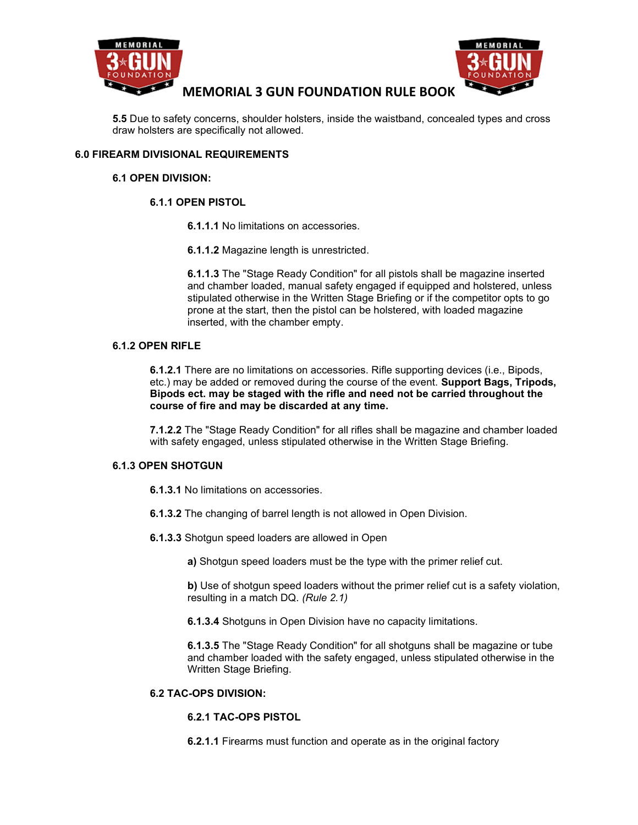



5.5 Due to safety concerns, shoulder holsters, inside the waistband, concealed types and cross draw holsters are specifically not allowed.

## 6.0 FIREARM DIVISIONAL REQUIREMENTS

### 6.1 OPEN DIVISION:

## 6.1.1 OPEN PISTOL

6.1.1.1 No limitations on accessories.

6.1.1.2 Magazine length is unrestricted.

6.1.1.3 The "Stage Ready Condition" for all pistols shall be magazine inserted and chamber loaded, manual safety engaged if equipped and holstered, unless stipulated otherwise in the Written Stage Briefing or if the competitor opts to go prone at the start, then the pistol can be holstered, with loaded magazine inserted, with the chamber empty.

## 6.1.2 OPEN RIFLE

6.1.2.1 There are no limitations on accessories. Rifle supporting devices (i.e., Bipods, etc.) may be added or removed during the course of the event. Support Bags, Tripods, Bipods ect. may be staged with the rifle and need not be carried throughout the course of fire and may be discarded at any time.

7.1.2.2 The "Stage Ready Condition" for all rifles shall be magazine and chamber loaded with safety engaged, unless stipulated otherwise in the Written Stage Briefing.

## 6.1.3 OPEN SHOTGUN

6.1.3.1 No limitations on accessories.

- 6.1.3.2 The changing of barrel length is not allowed in Open Division.
- 6.1.3.3 Shotgun speed loaders are allowed in Open

a) Shotgun speed loaders must be the type with the primer relief cut.

b) Use of shotgun speed loaders without the primer relief cut is a safety violation, resulting in a match DQ. (Rule 2.1)

6.1.3.4 Shotguns in Open Division have no capacity limitations.

6.1.3.5 The "Stage Ready Condition" for all shotguns shall be magazine or tube and chamber loaded with the safety engaged, unless stipulated otherwise in the Written Stage Briefing.

### 6.2 TAC-OPS DIVISION:

#### 6.2.1 TAC-OPS PISTOL

6.2.1.1 Firearms must function and operate as in the original factory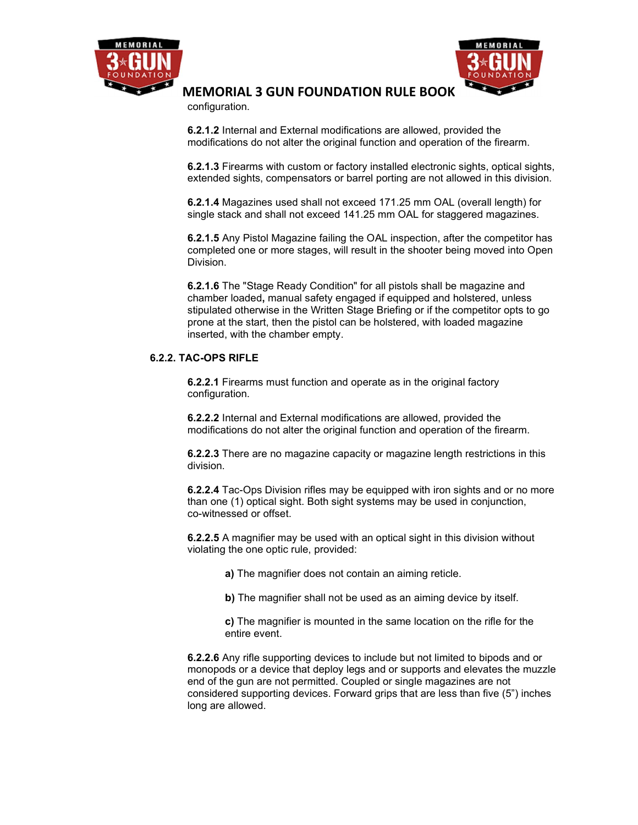



configuration.

6.2.1.2 Internal and External modifications are allowed, provided the modifications do not alter the original function and operation of the firearm.

6.2.1.3 Firearms with custom or factory installed electronic sights, optical sights, extended sights, compensators or barrel porting are not allowed in this division.

6.2.1.4 Magazines used shall not exceed 171.25 mm OAL (overall length) for single stack and shall not exceed 141.25 mm OAL for staggered magazines.

6.2.1.5 Any Pistol Magazine failing the OAL inspection, after the competitor has completed one or more stages, will result in the shooter being moved into Open Division.

6.2.1.6 The "Stage Ready Condition" for all pistols shall be magazine and chamber loaded, manual safety engaged if equipped and holstered, unless stipulated otherwise in the Written Stage Briefing or if the competitor opts to go prone at the start, then the pistol can be holstered, with loaded magazine inserted, with the chamber empty.

### 6.2.2. TAC-OPS RIFLE

6.2.2.1 Firearms must function and operate as in the original factory configuration.

6.2.2.2 Internal and External modifications are allowed, provided the modifications do not alter the original function and operation of the firearm.

6.2.2.3 There are no magazine capacity or magazine length restrictions in this division.

6.2.2.4 Tac-Ops Division rifles may be equipped with iron sights and or no more than one (1) optical sight. Both sight systems may be used in conjunction, co-witnessed or offset.

6.2.2.5 A magnifier may be used with an optical sight in this division without violating the one optic rule, provided:

a) The magnifier does not contain an aiming reticle.

b) The magnifier shall not be used as an aiming device by itself.

c) The magnifier is mounted in the same location on the rifle for the entire event.

6.2.2.6 Any rifle supporting devices to include but not limited to bipods and or monopods or a device that deploy legs and or supports and elevates the muzzle end of the gun are not permitted. Coupled or single magazines are not considered supporting devices. Forward grips that are less than five (5") inches long are allowed.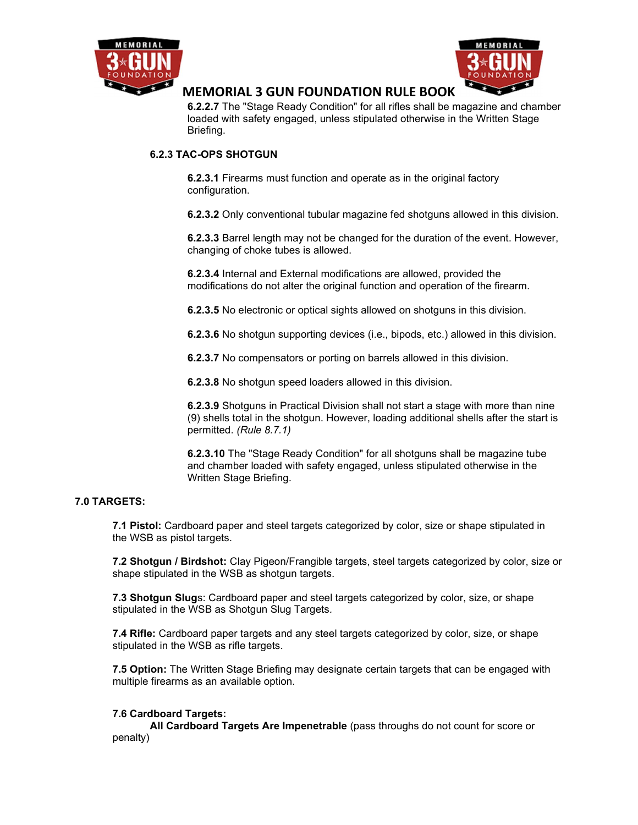



6.2.2.7 The "Stage Ready Condition" for all rifles shall be magazine and chamber loaded with safety engaged, unless stipulated otherwise in the Written Stage Briefing.

## 6.2.3 TAC-OPS SHOTGUN

6.2.3.1 Firearms must function and operate as in the original factory configuration.

6.2.3.2 Only conventional tubular magazine fed shotguns allowed in this division.

6.2.3.3 Barrel length may not be changed for the duration of the event. However, changing of choke tubes is allowed.

6.2.3.4 Internal and External modifications are allowed, provided the modifications do not alter the original function and operation of the firearm.

6.2.3.5 No electronic or optical sights allowed on shotguns in this division.

6.2.3.6 No shotgun supporting devices (i.e., bipods, etc.) allowed in this division.

6.2.3.7 No compensators or porting on barrels allowed in this division.

6.2.3.8 No shotgun speed loaders allowed in this division.

6.2.3.9 Shotguns in Practical Division shall not start a stage with more than nine (9) shells total in the shotgun. However, loading additional shells after the start is permitted. (Rule 8.7.1)

6.2.3.10 The "Stage Ready Condition" for all shotguns shall be magazine tube and chamber loaded with safety engaged, unless stipulated otherwise in the Written Stage Briefing.

## 7.0 TARGETS:

7.1 Pistol: Cardboard paper and steel targets categorized by color, size or shape stipulated in the WSB as pistol targets.

7.2 Shotgun / Birdshot: Clay Pigeon/Frangible targets, steel targets categorized by color, size or shape stipulated in the WSB as shotgun targets.

7.3 Shotgun Slugs: Cardboard paper and steel targets categorized by color, size, or shape stipulated in the WSB as Shotgun Slug Targets.

7.4 Rifle: Cardboard paper targets and any steel targets categorized by color, size, or shape stipulated in the WSB as rifle targets.

7.5 Option: The Written Stage Briefing may designate certain targets that can be engaged with multiple firearms as an available option.

#### 7.6 Cardboard Targets:

All Cardboard Targets Are Impenetrable (pass throughs do not count for score or penalty)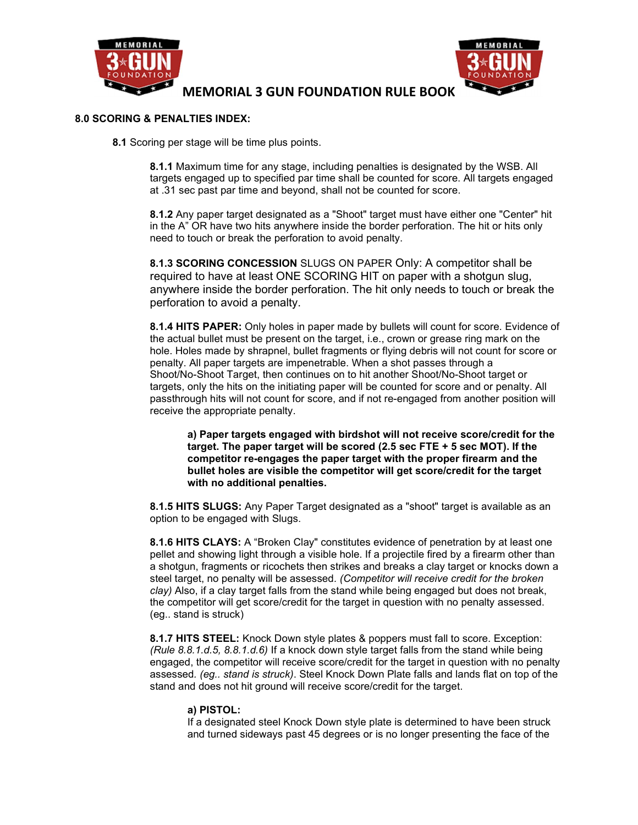



### 8.0 SCORING & PENALTIES INDEX:

8.1 Scoring per stage will be time plus points.

8.1.1 Maximum time for any stage, including penalties is designated by the WSB. All targets engaged up to specified par time shall be counted for score. All targets engaged at .31 sec past par time and beyond, shall not be counted for score.

8.1.2 Any paper target designated as a "Shoot" target must have either one "Center" hit in the A" OR have two hits anywhere inside the border perforation. The hit or hits only need to touch or break the perforation to avoid penalty.

8.1.3 SCORING CONCESSION SLUGS ON PAPER Only: A competitor shall be required to have at least ONE SCORING HIT on paper with a shotgun slug, anywhere inside the border perforation. The hit only needs to touch or break the perforation to avoid a penalty.

8.1.4 HITS PAPER: Only holes in paper made by bullets will count for score. Evidence of the actual bullet must be present on the target, i.e., crown or grease ring mark on the hole. Holes made by shrapnel, bullet fragments or flying debris will not count for score or penalty. All paper targets are impenetrable. When a shot passes through a Shoot/No-Shoot Target, then continues on to hit another Shoot/No-Shoot target or targets, only the hits on the initiating paper will be counted for score and or penalty. All passthrough hits will not count for score, and if not re-engaged from another position will receive the appropriate penalty.

a) Paper targets engaged with birdshot will not receive score/credit for the target. The paper target will be scored (2.5 sec FTE + 5 sec MOT). If the competitor re-engages the paper target with the proper firearm and the bullet holes are visible the competitor will get score/credit for the target with no additional penalties.

8.1.5 HITS SLUGS: Any Paper Target designated as a "shoot" target is available as an option to be engaged with Slugs.

8.1.6 HITS CLAYS: A "Broken Clay" constitutes evidence of penetration by at least one pellet and showing light through a visible hole. If a projectile fired by a firearm other than a shotgun, fragments or ricochets then strikes and breaks a clay target or knocks down a steel target, no penalty will be assessed. (Competitor will receive credit for the broken clay) Also, if a clay target falls from the stand while being engaged but does not break, the competitor will get score/credit for the target in question with no penalty assessed. (eg.. stand is struck)

8.1.7 HITS STEEL: Knock Down style plates & poppers must fall to score. Exception: (Rule  $8.8.1.d.5$ ,  $8.8.1.d.6$ ) If a knock down style target falls from the stand while being engaged, the competitor will receive score/credit for the target in question with no penalty assessed. (eg.. stand is struck). Steel Knock Down Plate falls and lands flat on top of the stand and does not hit ground will receive score/credit for the target.

#### a) PISTOL:

If a designated steel Knock Down style plate is determined to have been struck and turned sideways past 45 degrees or is no longer presenting the face of the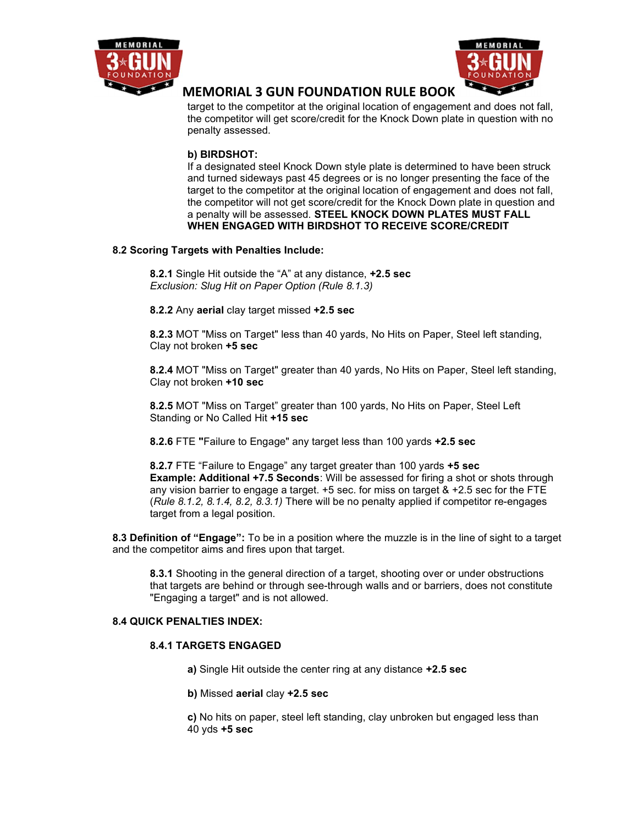



target to the competitor at the original location of engagement and does not fall, the competitor will get score/credit for the Knock Down plate in question with no penalty assessed.

## b) BIRDSHOT:

If a designated steel Knock Down style plate is determined to have been struck and turned sideways past 45 degrees or is no longer presenting the face of the target to the competitor at the original location of engagement and does not fall, the competitor will not get score/credit for the Knock Down plate in question and a penalty will be assessed. STEEL KNOCK DOWN PLATES MUST FALL WHEN ENGAGED WITH BIRDSHOT TO RECEIVE SCORE/CREDIT

## 8.2 Scoring Targets with Penalties Include:

8.2.1 Single Hit outside the "A" at any distance, +2.5 sec Exclusion: Slug Hit on Paper Option (Rule 8.1.3)

8.2.2 Any aerial clay target missed +2.5 sec

8.2.3 MOT "Miss on Target" less than 40 yards, No Hits on Paper, Steel left standing, Clay not broken +5 sec

8.2.4 MOT "Miss on Target" greater than 40 yards, No Hits on Paper, Steel left standing, Clay not broken +10 sec

8.2.5 MOT "Miss on Target" greater than 100 yards, No Hits on Paper, Steel Left Standing or No Called Hit +15 sec

8.2.6 FTE "Failure to Engage" any target less than 100 yards +2.5 sec

8.2.7 FTE "Failure to Engage" any target greater than 100 yards +5 sec Example: Additional +7.5 Seconds: Will be assessed for firing a shot or shots through any vision barrier to engage a target. +5 sec. for miss on target & +2.5 sec for the FTE (Rule 8.1.2, 8.1.4, 8.2, 8.3.1) There will be no penalty applied if competitor re-engages target from a legal position.

8.3 Definition of "Engage": To be in a position where the muzzle is in the line of sight to a target and the competitor aims and fires upon that target.

8.3.1 Shooting in the general direction of a target, shooting over or under obstructions that targets are behind or through see-through walls and or barriers, does not constitute "Engaging a target" and is not allowed.

## 8.4 QUICK PENALTIES INDEX:

## 8.4.1 TARGETS ENGAGED

a) Single Hit outside the center ring at any distance +2.5 sec

b) Missed aerial clay +2.5 sec

c) No hits on paper, steel left standing, clay unbroken but engaged less than 40 yds +5 sec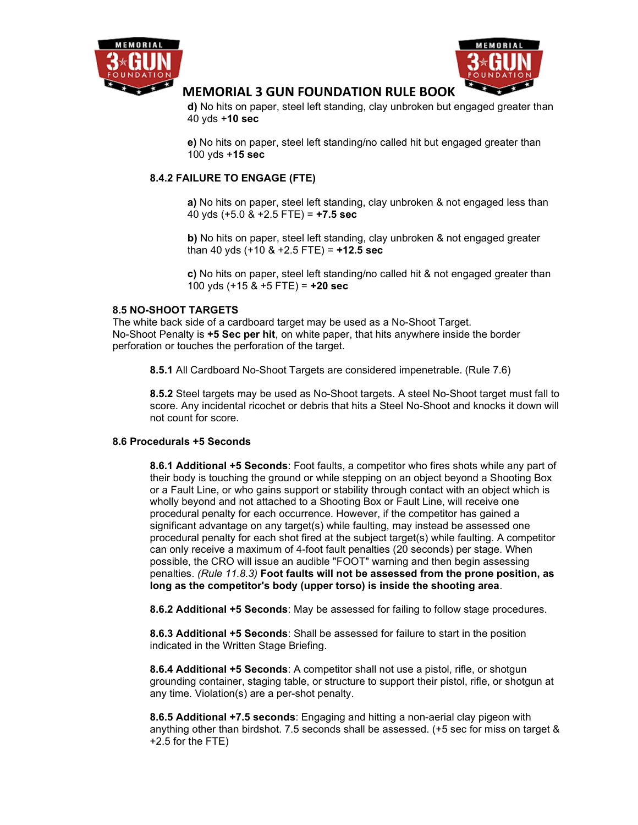



d) No hits on paper, steel left standing, clay unbroken but engaged greater than 40 yds +10 sec

e) No hits on paper, steel left standing/no called hit but engaged greater than 100 yds +15 sec

## 8.4.2 FAILURE TO ENGAGE (FTE)

a) No hits on paper, steel left standing, clay unbroken & not engaged less than 40 yds  $(+5.0 \& +2.5$  FTE) =  $+7.5$  sec

b) No hits on paper, steel left standing, clay unbroken & not engaged greater than 40 yds  $(+10 \& +2.5$  FTE) =  $+12.5$  sec

c) No hits on paper, steel left standing/no called hit & not engaged greater than 100 yds  $(+15 \& +5$  FTE) =  $+20$  sec

### 8.5 NO-SHOOT TARGETS

The white back side of a cardboard target may be used as a No-Shoot Target. No-Shoot Penalty is +5 Sec per hit, on white paper, that hits anywhere inside the border perforation or touches the perforation of the target.

8.5.1 All Cardboard No-Shoot Targets are considered impenetrable. (Rule 7.6)

8.5.2 Steel targets may be used as No-Shoot targets. A steel No-Shoot target must fall to score. Any incidental ricochet or debris that hits a Steel No-Shoot and knocks it down will not count for score.

## 8.6 Procedurals +5 Seconds

8.6.1 Additional +5 Seconds: Foot faults, a competitor who fires shots while any part of their body is touching the ground or while stepping on an object beyond a Shooting Box or a Fault Line, or who gains support or stability through contact with an object which is wholly beyond and not attached to a Shooting Box or Fault Line, will receive one procedural penalty for each occurrence. However, if the competitor has gained a significant advantage on any target(s) while faulting, may instead be assessed one procedural penalty for each shot fired at the subject target(s) while faulting. A competitor can only receive a maximum of 4-foot fault penalties (20 seconds) per stage. When possible, the CRO will issue an audible "FOOT" warning and then begin assessing penalties. (Rule 11.8.3) Foot faults will not be assessed from the prone position, as long as the competitor's body (upper torso) is inside the shooting area.

8.6.2 Additional +5 Seconds: May be assessed for failing to follow stage procedures.

8.6.3 Additional +5 Seconds: Shall be assessed for failure to start in the position indicated in the Written Stage Briefing.

8.6.4 Additional +5 Seconds: A competitor shall not use a pistol, rifle, or shotgun grounding container, staging table, or structure to support their pistol, rifle, or shotgun at any time. Violation(s) are a per-shot penalty.

8.6.5 Additional +7.5 seconds: Engaging and hitting a non-aerial clay pigeon with anything other than birdshot. 7.5 seconds shall be assessed. (+5 sec for miss on target & +2.5 for the FTE)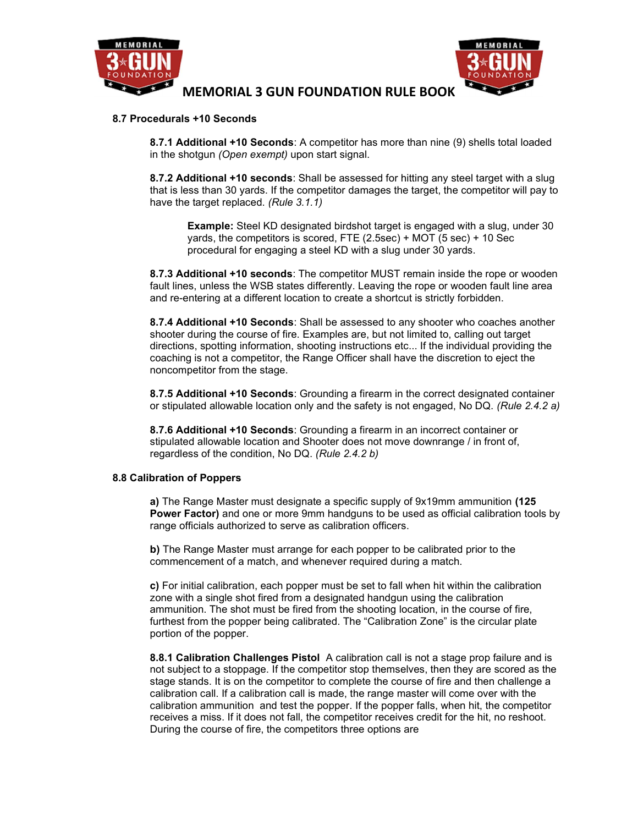



#### 8.7 Procedurals +10 Seconds

8.7.1 Additional +10 Seconds: A competitor has more than nine (9) shells total loaded in the shotgun (Open exempt) upon start signal.

8.7.2 Additional +10 seconds: Shall be assessed for hitting any steel target with a slug that is less than 30 yards. If the competitor damages the target, the competitor will pay to have the target replaced. (Rule 3.1.1)

Example: Steel KD designated birdshot target is engaged with a slug, under 30 yards, the competitors is scored, FTE (2.5sec) + MOT (5 sec) + 10 Sec procedural for engaging a steel KD with a slug under 30 yards.

8.7.3 Additional +10 seconds: The competitor MUST remain inside the rope or wooden fault lines, unless the WSB states differently. Leaving the rope or wooden fault line area and re-entering at a different location to create a shortcut is strictly forbidden.

8.7.4 Additional +10 Seconds: Shall be assessed to any shooter who coaches another shooter during the course of fire. Examples are, but not limited to, calling out target directions, spotting information, shooting instructions etc... If the individual providing the coaching is not a competitor, the Range Officer shall have the discretion to eject the noncompetitor from the stage.

8.7.5 Additional +10 Seconds: Grounding a firearm in the correct designated container or stipulated allowable location only and the safety is not engaged, No DQ. (Rule 2.4.2 a)

8.7.6 Additional +10 Seconds: Grounding a firearm in an incorrect container or stipulated allowable location and Shooter does not move downrange / in front of, regardless of the condition, No DQ. (Rule 2.4.2 b)

#### 8.8 Calibration of Poppers

a) The Range Master must designate a specific supply of 9x19mm ammunition (125 **Power Factor)** and one or more 9mm handguns to be used as official calibration tools by range officials authorized to serve as calibration officers.

b) The Range Master must arrange for each popper to be calibrated prior to the commencement of a match, and whenever required during a match.

c) For initial calibration, each popper must be set to fall when hit within the calibration zone with a single shot fired from a designated handgun using the calibration ammunition. The shot must be fired from the shooting location, in the course of fire, furthest from the popper being calibrated. The "Calibration Zone" is the circular plate portion of the popper.

8.8.1 Calibration Challenges Pistol A calibration call is not a stage prop failure and is not subject to a stoppage. If the competitor stop themselves, then they are scored as the stage stands. It is on the competitor to complete the course of fire and then challenge a calibration call. If a calibration call is made, the range master will come over with the calibration ammunition and test the popper. If the popper falls, when hit, the competitor receives a miss. If it does not fall, the competitor receives credit for the hit, no reshoot. During the course of fire, the competitors three options are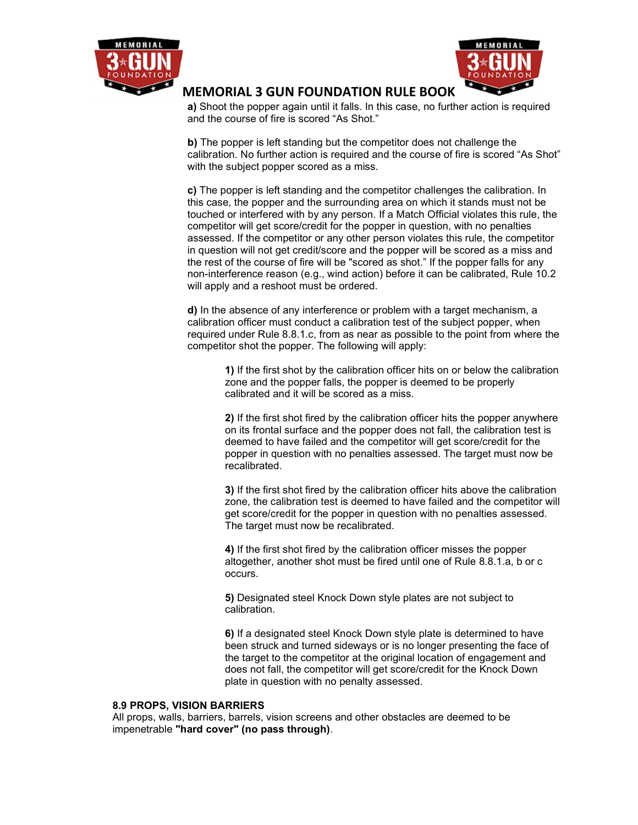



a) Shoot the popper again until it falls. In this case, no further action is required and the course of fire is scored "As Shot."

b) The popper is left standing but the competitor does not challenge the calibration. No further action is required and the course of fire is scored "As Shot" with the subject popper scored as a miss.

c) The popper is left standing and the competitor challenges the calibration. In this case, the popper and the surrounding area on which it stands must not be touched or interfered with by any person. If a Match Official violates this rule, the competitor will get score/credit for the popper in question, with no penalties assessed. If the competitor or any other person violates this rule, the competitor in question will not get credit/score and the popper will be scored as a miss and the rest of the course of fire will be "scored as shot." If the popper falls for any non-interference reason (e.g., wind action) before it can be calibrated, Rule 10.2 will apply and a reshoot must be ordered.

d) In the absence of any interference or problem with a target mechanism, a calibration officer must conduct a calibration test of the subject popper, when required under Rule 8.8.1.c, from as near as possible to the point from where the competitor shot the popper. The following will apply:

1) If the first shot by the calibration officer hits on or below the calibration zone and the popper falls, the popper is deemed to be properly calibrated and it will be scored as a miss.

2) If the first shot fired by the calibration officer hits the popper anywhere on its frontal surface and the popper does not fall, the calibration test is deemed to have failed and the competitor will get score/credit for the popper in question with no penalties assessed. The target must now be recalibrated.

3) If the first shot fired by the calibration officer hits above the calibration zone, the calibration test is deemed to have failed and the competitor will get score/credit for the popper in question with no penalties assessed. The target must now be recalibrated.

4) If the first shot fired by the calibration officer misses the popper altogether, another shot must be fired until one of Rule 8.8.1.a, b or c occurs.

5) Designated steel Knock Down style plates are not subject to calibration.

6) If a designated steel Knock Down style plate is determined to have been struck and turned sideways or is no longer presenting the face of the target to the competitor at the original location of engagement and does not fall, the competitor will get score/credit for the Knock Down plate in question with no penalty assessed.

#### 8.9 PROPS, VISION BARRIERS

All props, walls, barriers, barrels, vision screens and other obstacles are deemed to be impenetrable "hard cover" (no pass through).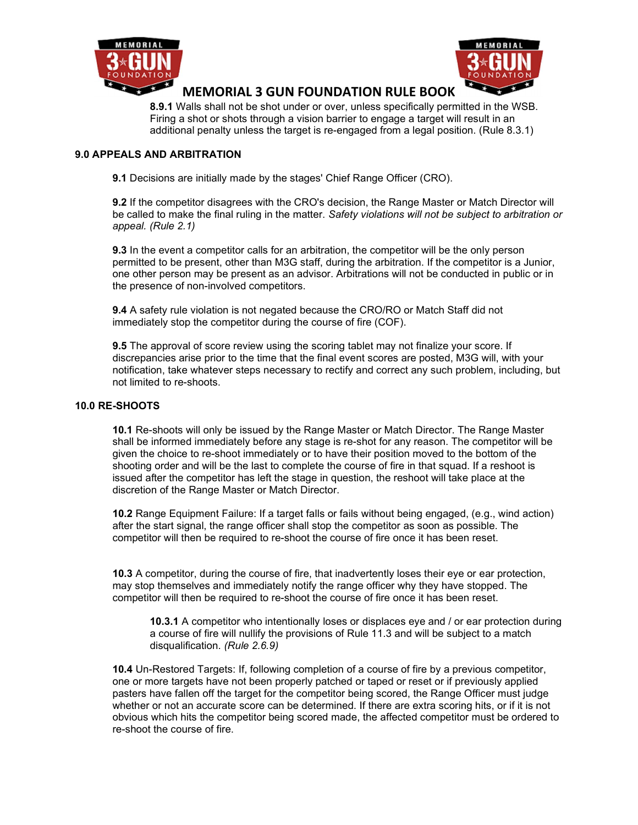



8.9.1 Walls shall not be shot under or over, unless specifically permitted in the WSB. Firing a shot or shots through a vision barrier to engage a target will result in an additional penalty unless the target is re-engaged from a legal position. (Rule 8.3.1)

## 9.0 APPEALS AND ARBITRATION

9.1 Decisions are initially made by the stages' Chief Range Officer (CRO).

9.2 If the competitor disagrees with the CRO's decision, the Range Master or Match Director will be called to make the final ruling in the matter. Safety violations will not be subject to arbitration or appeal. (Rule 2.1)

**9.3** In the event a competitor calls for an arbitration, the competitor will be the only person permitted to be present, other than M3G staff, during the arbitration. If the competitor is a Junior, one other person may be present as an advisor. Arbitrations will not be conducted in public or in the presence of non-involved competitors.

9.4 A safety rule violation is not negated because the CRO/RO or Match Staff did not immediately stop the competitor during the course of fire (COF).

**9.5** The approval of score review using the scoring tablet may not finalize your score. If discrepancies arise prior to the time that the final event scores are posted, M3G will, with your notification, take whatever steps necessary to rectify and correct any such problem, including, but not limited to re-shoots.

#### 10.0 RE-SHOOTS

10.1 Re-shoots will only be issued by the Range Master or Match Director. The Range Master shall be informed immediately before any stage is re-shot for any reason. The competitor will be given the choice to re-shoot immediately or to have their position moved to the bottom of the shooting order and will be the last to complete the course of fire in that squad. If a reshoot is issued after the competitor has left the stage in question, the reshoot will take place at the discretion of the Range Master or Match Director.

10.2 Range Equipment Failure: If a target falls or fails without being engaged, (e.g., wind action) after the start signal, the range officer shall stop the competitor as soon as possible. The competitor will then be required to re-shoot the course of fire once it has been reset.

10.3 A competitor, during the course of fire, that inadvertently loses their eye or ear protection, may stop themselves and immediately notify the range officer why they have stopped. The competitor will then be required to re-shoot the course of fire once it has been reset.

10.3.1 A competitor who intentionally loses or displaces eye and / or ear protection during a course of fire will nullify the provisions of Rule 11.3 and will be subject to a match disqualification. (Rule 2.6.9)

10.4 Un-Restored Targets: If, following completion of a course of fire by a previous competitor, one or more targets have not been properly patched or taped or reset or if previously applied pasters have fallen off the target for the competitor being scored, the Range Officer must judge whether or not an accurate score can be determined. If there are extra scoring hits, or if it is not obvious which hits the competitor being scored made, the affected competitor must be ordered to re-shoot the course of fire.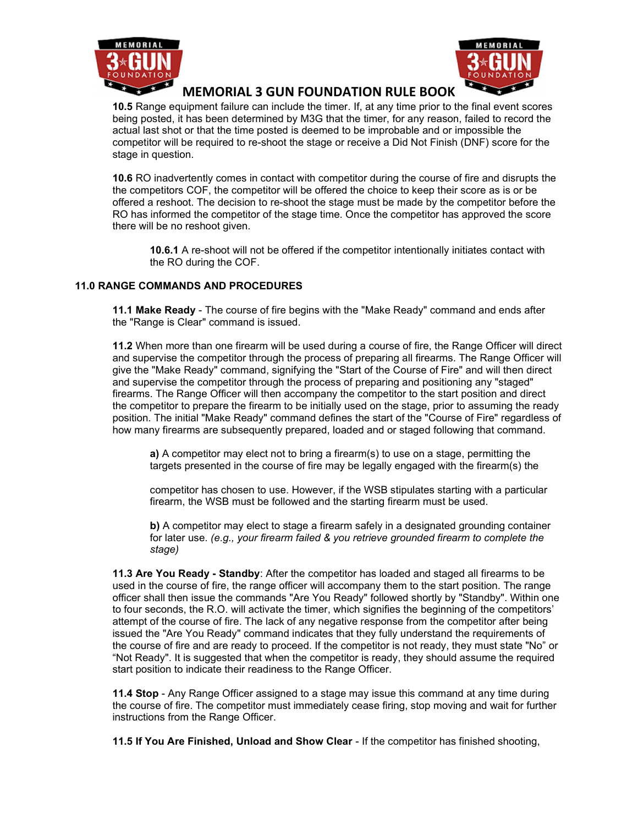



10.5 Range equipment failure can include the timer. If, at any time prior to the final event scores being posted, it has been determined by M3G that the timer, for any reason, failed to record the actual last shot or that the time posted is deemed to be improbable and or impossible the competitor will be required to re-shoot the stage or receive a Did Not Finish (DNF) score for the stage in question.

10.6 RO inadvertently comes in contact with competitor during the course of fire and disrupts the the competitors COF, the competitor will be offered the choice to keep their score as is or be offered a reshoot. The decision to re-shoot the stage must be made by the competitor before the RO has informed the competitor of the stage time. Once the competitor has approved the score there will be no reshoot given.

10.6.1 A re-shoot will not be offered if the competitor intentionally initiates contact with the RO during the COF.

## 11.0 RANGE COMMANDS AND PROCEDURES

11.1 Make Ready - The course of fire begins with the "Make Ready" command and ends after the "Range is Clear" command is issued.

11.2 When more than one firearm will be used during a course of fire, the Range Officer will direct and supervise the competitor through the process of preparing all firearms. The Range Officer will give the "Make Ready" command, signifying the "Start of the Course of Fire" and will then direct and supervise the competitor through the process of preparing and positioning any "staged" firearms. The Range Officer will then accompany the competitor to the start position and direct the competitor to prepare the firearm to be initially used on the stage, prior to assuming the ready position. The initial "Make Ready" command defines the start of the "Course of Fire" regardless of how many firearms are subsequently prepared, loaded and or staged following that command.

a) A competitor may elect not to bring a firearm(s) to use on a stage, permitting the targets presented in the course of fire may be legally engaged with the firearm(s) the

competitor has chosen to use. However, if the WSB stipulates starting with a particular firearm, the WSB must be followed and the starting firearm must be used.

b) A competitor may elect to stage a firearm safely in a designated grounding container for later use. (e.g., your firearm failed & you retrieve grounded firearm to complete the stage)

11.3 Are You Ready - Standby: After the competitor has loaded and staged all firearms to be used in the course of fire, the range officer will accompany them to the start position. The range officer shall then issue the commands "Are You Ready" followed shortly by "Standby". Within one to four seconds, the R.O. will activate the timer, which signifies the beginning of the competitors' attempt of the course of fire. The lack of any negative response from the competitor after being issued the "Are You Ready" command indicates that they fully understand the requirements of the course of fire and are ready to proceed. If the competitor is not ready, they must state "No" or "Not Ready". It is suggested that when the competitor is ready, they should assume the required start position to indicate their readiness to the Range Officer.

11.4 Stop - Any Range Officer assigned to a stage may issue this command at any time during the course of fire. The competitor must immediately cease firing, stop moving and wait for further instructions from the Range Officer.

11.5 If You Are Finished, Unload and Show Clear - If the competitor has finished shooting,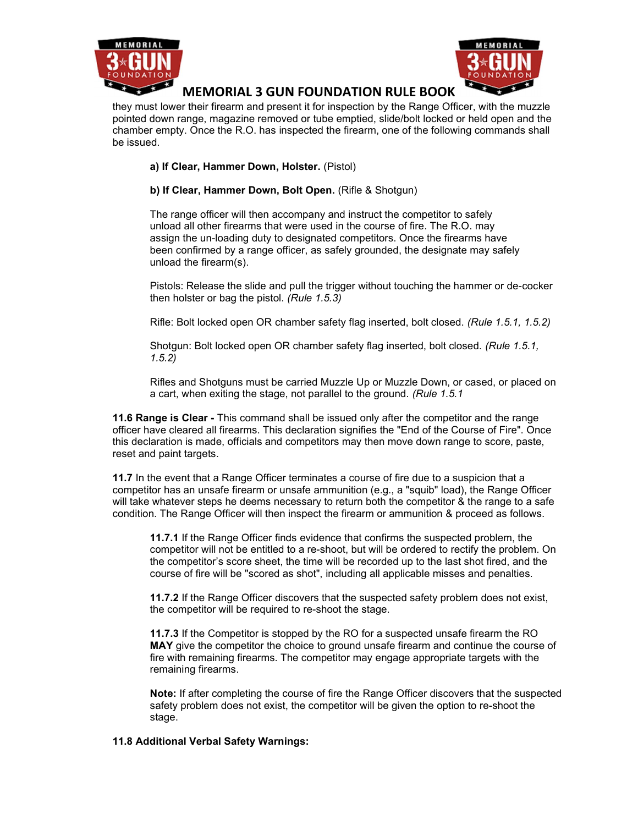



they must lower their firearm and present it for inspection by the Range Officer, with the muzzle pointed down range, magazine removed or tube emptied, slide/bolt locked or held open and the chamber empty. Once the R.O. has inspected the firearm, one of the following commands shall be issued.

## a) If Clear, Hammer Down, Holster. (Pistol)

## b) If Clear, Hammer Down, Bolt Open. (Rifle & Shotgun)

The range officer will then accompany and instruct the competitor to safely unload all other firearms that were used in the course of fire. The R.O. may assign the un-loading duty to designated competitors. Once the firearms have been confirmed by a range officer, as safely grounded, the designate may safely unload the firearm(s).

Pistols: Release the slide and pull the trigger without touching the hammer or de-cocker then holster or bag the pistol. (Rule 1.5.3)

Rifle: Bolt locked open OR chamber safety flag inserted, bolt closed. (Rule 1.5.1, 1.5.2)

Shotgun: Bolt locked open OR chamber safety flag inserted, bolt closed. (Rule 1.5.1, 1.5.2)

Rifles and Shotguns must be carried Muzzle Up or Muzzle Down, or cased, or placed on a cart, when exiting the stage, not parallel to the ground. (Rule 1.5.1

11.6 Range is Clear - This command shall be issued only after the competitor and the range officer have cleared all firearms. This declaration signifies the "End of the Course of Fire". Once this declaration is made, officials and competitors may then move down range to score, paste, reset and paint targets.

11.7 In the event that a Range Officer terminates a course of fire due to a suspicion that a competitor has an unsafe firearm or unsafe ammunition (e.g., a "squib" load), the Range Officer will take whatever steps he deems necessary to return both the competitor & the range to a safe condition. The Range Officer will then inspect the firearm or ammunition & proceed as follows.

11.7.1 If the Range Officer finds evidence that confirms the suspected problem, the competitor will not be entitled to a re-shoot, but will be ordered to rectify the problem. On the competitor's score sheet, the time will be recorded up to the last shot fired, and the course of fire will be "scored as shot", including all applicable misses and penalties.

11.7.2 If the Range Officer discovers that the suspected safety problem does not exist, the competitor will be required to re-shoot the stage.

11.7.3 If the Competitor is stopped by the RO for a suspected unsafe firearm the RO MAY give the competitor the choice to ground unsafe firearm and continue the course of fire with remaining firearms. The competitor may engage appropriate targets with the remaining firearms.

Note: If after completing the course of fire the Range Officer discovers that the suspected safety problem does not exist, the competitor will be given the option to re-shoot the stage.

## 11.8 Additional Verbal Safety Warnings: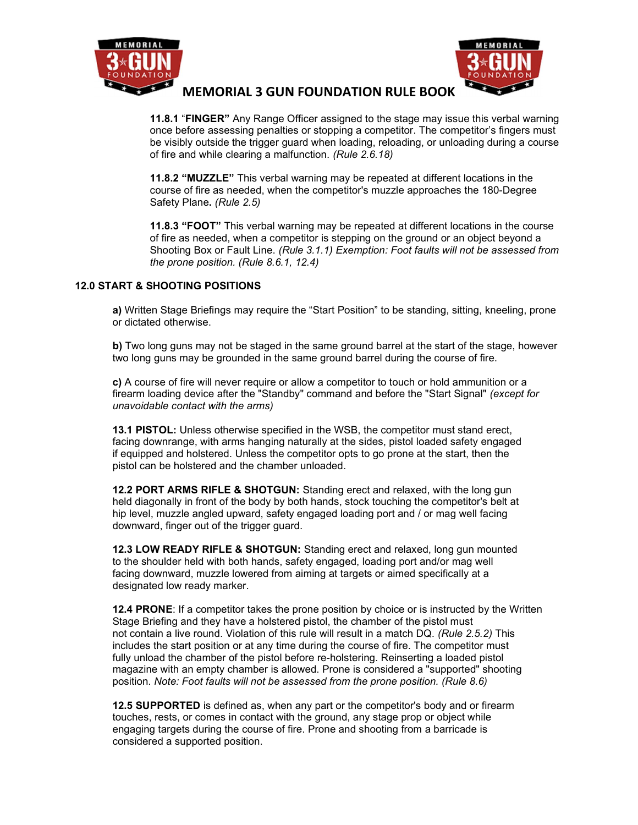



11.8.1 "FINGER" Any Range Officer assigned to the stage may issue this verbal warning once before assessing penalties or stopping a competitor. The competitor's fingers must be visibly outside the trigger guard when loading, reloading, or unloading during a course of fire and while clearing a malfunction. (Rule 2.6.18)

11.8.2 "MUZZLE" This verbal warning may be repeated at different locations in the course of fire as needed, when the competitor's muzzle approaches the 180-Degree Safety Plane. (Rule 2.5)

11.8.3 "FOOT" This verbal warning may be repeated at different locations in the course of fire as needed, when a competitor is stepping on the ground or an object beyond a Shooting Box or Fault Line. (Rule 3.1.1) Exemption: Foot faults will not be assessed from the prone position. (Rule 8.6.1, 12.4)

## 12.0 START & SHOOTING POSITIONS

a) Written Stage Briefings may require the "Start Position" to be standing, sitting, kneeling, prone or dictated otherwise.

b) Two long guns may not be staged in the same ground barrel at the start of the stage, however two long guns may be grounded in the same ground barrel during the course of fire.

c) A course of fire will never require or allow a competitor to touch or hold ammunition or a firearm loading device after the "Standby" command and before the "Start Signal" (except for unavoidable contact with the arms)

13.1 PISTOL: Unless otherwise specified in the WSB, the competitor must stand erect, facing downrange, with arms hanging naturally at the sides, pistol loaded safety engaged if equipped and holstered. Unless the competitor opts to go prone at the start, then the pistol can be holstered and the chamber unloaded.

12.2 PORT ARMS RIFLE & SHOTGUN: Standing erect and relaxed, with the long gun held diagonally in front of the body by both hands, stock touching the competitor's belt at hip level, muzzle angled upward, safety engaged loading port and / or mag well facing downward, finger out of the trigger guard.

12.3 LOW READY RIFLE & SHOTGUN: Standing erect and relaxed, long gun mounted to the shoulder held with both hands, safety engaged, loading port and/or mag well facing downward, muzzle lowered from aiming at targets or aimed specifically at a designated low ready marker.

12.4 PRONE: If a competitor takes the prone position by choice or is instructed by the Written Stage Briefing and they have a holstered pistol, the chamber of the pistol must not contain a live round. Violation of this rule will result in a match DQ. (Rule 2.5.2) This includes the start position or at any time during the course of fire. The competitor must fully unload the chamber of the pistol before re-holstering. Reinserting a loaded pistol magazine with an empty chamber is allowed. Prone is considered a "supported" shooting position. Note: Foot faults will not be assessed from the prone position. (Rule 8.6)

12.5 SUPPORTED is defined as, when any part or the competitor's body and or firearm touches, rests, or comes in contact with the ground, any stage prop or object while engaging targets during the course of fire. Prone and shooting from a barricade is considered a supported position.